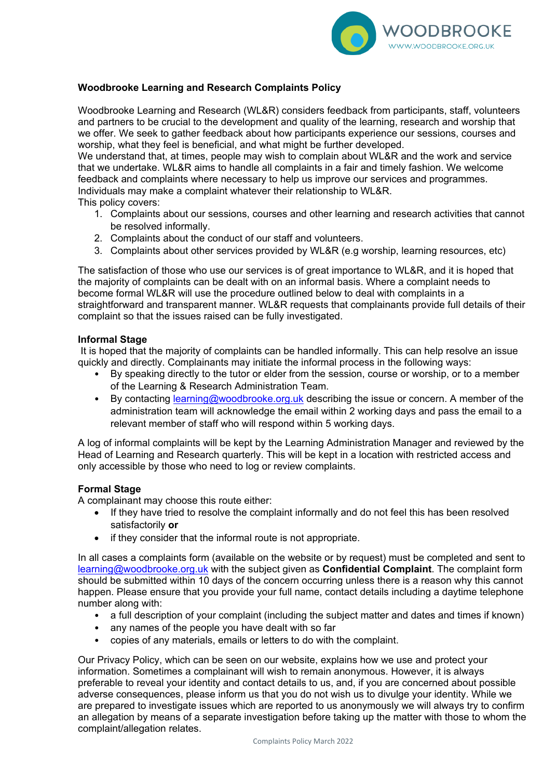

# **Woodbrooke Learning and Research Complaints Policy**

Woodbrooke Learning and Research (WL&R) considers feedback from participants, staff, volunteers and partners to be crucial to the development and quality of the learning, research and worship that we offer. We seek to gather feedback about how participants experience our sessions, courses and worship, what they feel is beneficial, and what might be further developed.

We understand that, at times, people may wish to complain about WL&R and the work and service that we undertake. WL&R aims to handle all complaints in a fair and timely fashion. We welcome feedback and complaints where necessary to help us improve our services and programmes. Individuals may make a complaint whatever their relationship to WL&R.

This policy covers:

- 1. Complaints about our sessions, courses and other learning and research activities that cannot be resolved informally.
- 2. Complaints about the conduct of our staff and volunteers.
- 3. Complaints about other services provided by WL&R (e.g worship, learning resources, etc)

The satisfaction of those who use our services is of great importance to WL&R, and it is hoped that the majority of complaints can be dealt with on an informal basis. Where a complaint needs to become formal WL&R will use the procedure outlined below to deal with complaints in a straightforward and transparent manner. WL&R requests that complainants provide full details of their complaint so that the issues raised can be fully investigated.

### **Informal Stage**

It is hoped that the majority of complaints can be handled informally. This can help resolve an issue quickly and directly. Complainants may initiate the informal process in the following ways:

- By speaking directly to the tutor or elder from the session, course or worship, or to a member of the Learning & Research Administration Team.
- By contacting [learning@woodbrooke.org.uk](mailto:learning@woodbrooke.org.uk) describing the issue or concern. A member of the administration team will acknowledge the email within 2 working days and pass the email to a relevant member of staff who will respond within 5 working days.

A log of informal complaints will be kept by the Learning Administration Manager and reviewed by the Head of Learning and Research quarterly. This will be kept in a location with restricted access and only accessible by those who need to log or review complaints.

# **Formal Stage**

A complainant may choose this route either:

- If they have tried to resolve the complaint informally and do not feel this has been resolved satisfactorily **or**
- if they consider that the informal route is not appropriate.

In all cases a complaints form (available on the website or by request) must be completed and sent to [learning@woodbrooke.org.uk](mailto:learning@woodbrooke.org.uk) with the subject given as **Confidential Complaint**. The complaint form should be submitted within 10 days of the concern occurring unless there is a reason why this cannot happen. Please ensure that you provide your full name, contact details including a daytime telephone number along with:

- a full description of your complaint (including the subject matter and dates and times if known)
- any names of the people you have dealt with so far
- copies of any materials, emails or letters to do with the complaint.

Our Privacy Policy, which can be seen on our website, explains how we use and protect your information. Sometimes a complainant will wish to remain anonymous. However, it is always preferable to reveal your identity and contact details to us, and, if you are concerned about possible adverse consequences, please inform us that you do not wish us to divulge your identity. While we are prepared to investigate issues which are reported to us anonymously we will always try to confirm an allegation by means of a separate investigation before taking up the matter with those to whom the complaint/allegation relates.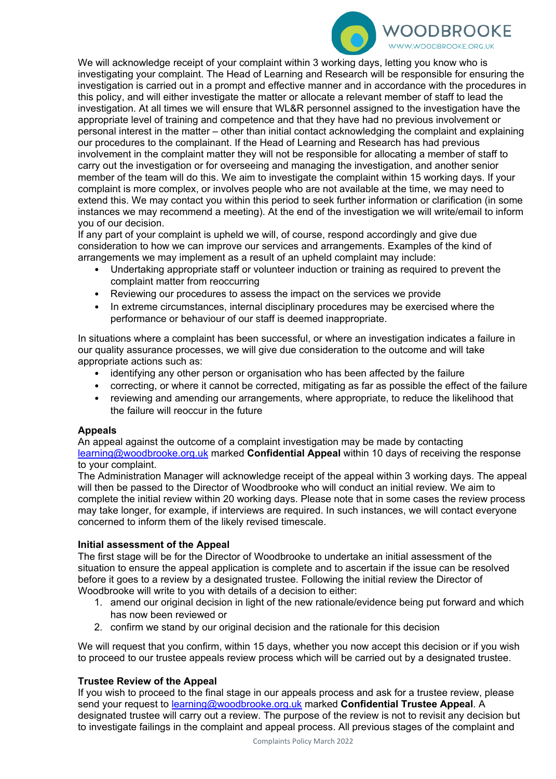

We will acknowledge receipt of your complaint within 3 working days, letting you know who is investigating your complaint. The Head of Learning and Research will be responsible for ensuring the investigation is carried out in a prompt and effective manner and in accordance with the procedures in this policy, and will either investigate the matter or allocate a relevant member of staff to lead the investigation. At all times we will ensure that WL&R personnel assigned to the investigation have the appropriate level of training and competence and that they have had no previous involvement or personal interest in the matter – other than initial contact acknowledging the complaint and explaining our procedures to the complainant. If the Head of Learning and Research has had previous involvement in the complaint matter they will not be responsible for allocating a member of staff to carry out the investigation or for overseeing and managing the investigation, and another senior member of the team will do this. We aim to investigate the complaint within 15 working days. If your complaint is more complex, or involves people who are not available at the time, we may need to extend this. We may contact you within this period to seek further information or clarification (in some instances we may recommend a meeting). At the end of the investigation we will write/email to inform you of our decision.

If any part of your complaint is upheld we will, of course, respond accordingly and give due consideration to how we can improve our services and arrangements. Examples of the kind of arrangements we may implement as a result of an upheld complaint may include:

- Undertaking appropriate staff or volunteer induction or training as required to prevent the complaint matter from reoccurring
- Reviewing our procedures to assess the impact on the services we provide
- In extreme circumstances, internal disciplinary procedures may be exercised where the performance or behaviour of our staff is deemed inappropriate.

In situations where a complaint has been successful, or where an investigation indicates a failure in our quality assurance processes, we will give due consideration to the outcome and will take appropriate actions such as:

- identifying any other person or organisation who has been affected by the failure
- correcting, or where it cannot be corrected, mitigating as far as possible the effect of the failure
- reviewing and amending our arrangements, where appropriate, to reduce the likelihood that the failure will reoccur in the future

# **Appeals**

An appeal against the outcome of a complaint investigation may be made by contacting [learning@woodbrooke.org.uk](mailto:learning@woodbrooke.org.uk) marked **Confidential Appeal** within 10 days of receiving the response to your complaint.

The Administration Manager will acknowledge receipt of the appeal within 3 working days. The appeal will then be passed to the Director of Woodbrooke who will conduct an initial review. We aim to complete the initial review within 20 working days. Please note that in some cases the review process may take longer, for example, if interviews are required. In such instances, we will contact everyone concerned to inform them of the likely revised timescale.

### **Initial assessment of the Appeal**

The first stage will be for the Director of Woodbrooke to undertake an initial assessment of the situation to ensure the appeal application is complete and to ascertain if the issue can be resolved before it goes to a review by a designated trustee. Following the initial review the Director of Woodbrooke will write to you with details of a decision to either:

- 1. amend our original decision in light of the new rationale/evidence being put forward and which has now been reviewed or
- 2. confirm we stand by our original decision and the rationale for this decision

We will request that you confirm, within 15 days, whether you now accept this decision or if you wish to proceed to our trustee appeals review process which will be carried out by a designated trustee.

# **Trustee Review of the Appeal**

If you wish to proceed to the final stage in our appeals process and ask for a trustee review, please send your request to [learning@woodbrooke.org.uk](mailto:learning@woodbrooke.org.uk) marked **Confidential Trustee Appeal**. A designated trustee will carry out a review. The purpose of the review is not to revisit any decision but to investigate failings in the complaint and appeal process. All previous stages of the complaint and